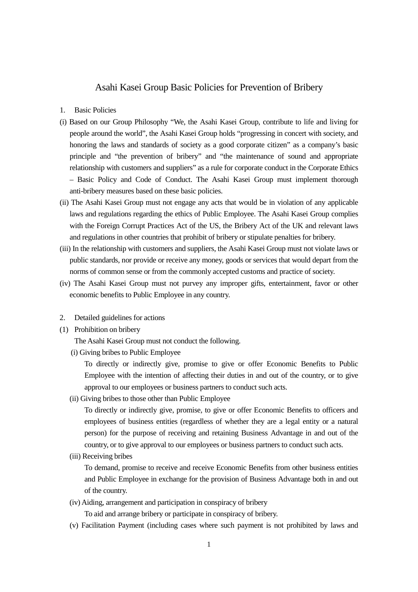## Asahi Kasei Group Basic Policies for Prevention of Bribery

- 1. Basic Policies
- (i) Based on our Group Philosophy "We, the Asahi Kasei Group, contribute to life and living for people around the world", the Asahi Kasei Group holds "progressing in concert with society, and honoring the laws and standards of society as a good corporate citizen" as a company's basic principle and "the prevention of bribery" and "the maintenance of sound and appropriate relationship with customers and suppliers" as a rule for corporate conduct in the Corporate Ethics – Basic Policy and Code of Conduct. The Asahi Kasei Group must implement thorough anti-bribery measures based on these basic policies.
- (ii) The Asahi Kasei Group must not engage any acts that would be in violation of any applicable laws and regulations regarding the ethics of Public Employee. The Asahi Kasei Group complies with the Foreign Corrupt Practices Act of the US, the Bribery Act of the UK and relevant laws and regulations in other countries that prohibit of bribery or stipulate penalties for bribery.
- (iii) In the relationship with customers and suppliers, the Asahi Kasei Group must not violate laws or public standards, nor provide or receive any money, goods or services that would depart from the norms of common sense or from the commonly accepted customs and practice of society.
- (iv) The Asahi Kasei Group must not purvey any improper gifts, entertainment, favor or other economic benefits to Public Employee in any country.
- 2. Detailed guidelines for actions
- (1) Prohibition on bribery

The Asahi Kasei Group must not conduct the following.

(i) Giving bribes to Public Employee

To directly or indirectly give, promise to give or offer Economic Benefits to Public Employee with the intention of affecting their duties in and out of the country, or to give approval to our employees or business partners to conduct such acts.

(ii) Giving bribes to those other than Public Employee

To directly or indirectly give, promise, to give or offer Economic Benefits to officers and employees of business entities (regardless of whether they are a legal entity or a natural person) for the purpose of receiving and retaining Business Advantage in and out of the country, or to give approval to our employees or business partners to conduct such acts.

(iii) Receiving bribes

To demand, promise to receive and receive Economic Benefits from other business entities and Public Employee in exchange for the provision of Business Advantage both in and out of the country.

(iv) Aiding, arrangement and participation in conspiracy of bribery

To aid and arrange bribery or participate in conspiracy of bribery.

(v) Facilitation Payment (including cases where such payment is not prohibited by laws and